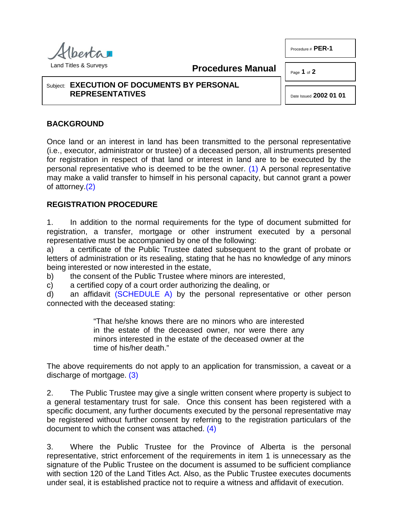

Land Titles & Surveys

**Procedures Manual**

## Subject: **EXECUTION OF DOCUMENTS BY PERSONAL REPRESENTATIVES**

**BACKGROUND**

Once land or an interest in land has been transmitted to the personal representative (i.e., executor, administrator or trustee) of a deceased person, all instruments presented for registration in respect of that land or interest in land are to be executed by the personal representative who is deemed to be the owner. [\(1\)](#page-1-0) A personal representative may make a valid transfer to himself in his personal capacity, but cannot grant a power of attorney[.\(2\)](#page-1-1)

## <span id="page-0-1"></span>**REGISTRATION PROCEDURE**

1. In addition to the normal requirements for the type of document submitted for registration, a transfer, mortgage or other instrument executed by a personal representative must be accompanied by one of the following:

a) a certificate of the Public Trustee dated subsequent to the grant of probate or letters of administration or its resealing, stating that he has no knowledge of any minors being interested or now interested in the estate,

b) the consent of the Public Trustee where minors are interested,

c) a certified copy of a court order authorizing the dealing, or

d) an affidavit [\(SCHEDULE A\)](http://www.servicealberta.ca/pdf/ltmanual/PER-1-SCHEDULEA.pdf) by the personal representative or other person connected with the deceased stating:

> <span id="page-0-3"></span><span id="page-0-2"></span>"That he/she knows there are no minors who are interested in the estate of the deceased owner, nor were there any minors interested in the estate of the deceased owner at the time of his/her death."

The above requirements do not apply to an application for transmission, a caveat or a discharge of mortgage. [\(3\)](#page-1-2)

2. The Public Trustee may give a single written consent where property is subject to a general testamentary trust for sale. Once this consent has been registered with a specific document, any further documents executed by the personal representative may be registered without further consent by referring to the registration particulars of the document to which the consent was attached. [\(4\)](#page-1-3)

3. Where the Public Trustee for the Province of Alberta is the personal representative, strict enforcement of the requirements in item 1 is unnecessary as the signature of the Public Trustee on the document is assumed to be sufficient compliance with section 120 of the Land Titles Act. Also, as the Public Trustee executes documents under seal, it is established practice not to require a witness and affidavit of execution.

Page **1** of **2**

<span id="page-0-0"></span>Date Issued **2002 01 01**

Procedure # **PER-1**